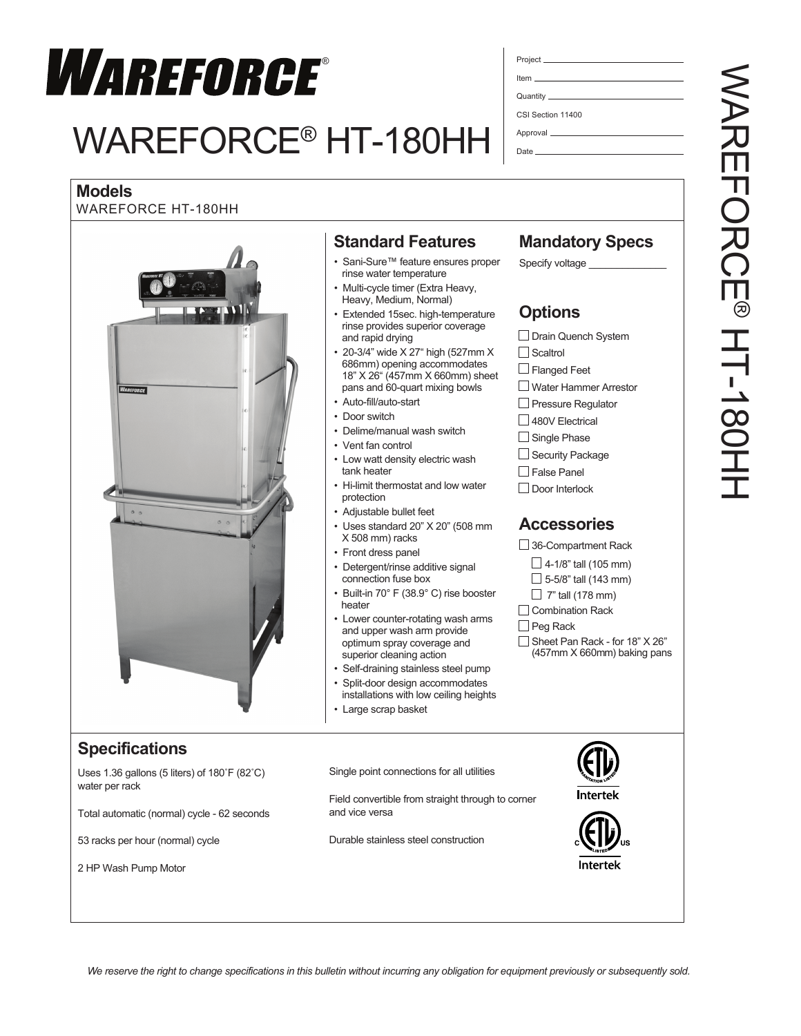

## WAREFORCE® HT-180HH

## **Models**

WAREFORCE HT-180HH



## **Specifications**

Uses 1.36 gallons (5 liters) of 180˚F (82˚C) water per rack

Total automatic (normal) cycle - 62 seconds

53 racks per hour (normal) cycle

2 HP Wash Pump Motor

## **Standard Features Mandatory Specs**

- Sani-Sure™ feature ensures proper rinse water temperature
- Multi-cycle timer (Extra Heavy, Heavy, Medium, Normal)
- Extended 15sec. high-temperature rinse provides superior coverage and rapid drying
- 20-3/4" wide X 27" high (527mm X 686mm) opening accommodates 18" X 26" (457mm X 660mm) sheet pans and 60-quart mixing bowls
- Auto-fill/auto-start
- Door switch
- Delime/manual wash switch
- Vent fan control
- Low watt density electric wash tank heater
- Hi-limit thermostat and low water protection
- Adjustable bullet feet
- Uses standard 20" X 20" (508 mm X 508 mm) racks
- Front dress panel
- Detergent/rinse additive signal connection fuse box
- Built-in 70° F (38.9° C) rise booster heater
- Lower counter-rotating wash arms and upper wash arm provide optimum spray coverage and superior cleaning action
- Self-draining stainless steel pump
- Split-door design accommodates
- installations with low ceiling heights
- Large scrap basket

Single point connections for all utilities

Field convertible from straight through to corner and vice versa

Durable stainless steel construction

Specify voltage

Project Item Quantity CSI Section 11400 Approval Date

## **Options**

- Drain Quench System □ Scaltrol
- $\Box$  Flanged Feet
- Water Hammer Arrestor
- **Pressure Regulator**
- □ 480V Electrical
- $\square$  Single Phase
- $\Box$  Security Package
- False Panel
- Door Interlock

## **Accessories**



 $\Box$  4-1/8" tall (105 mm)  $\Box$  5-5/8" tall (143 mm)

- $\Box$  7" tall (178 mm)
- Combination Rack
- Peg Rack

□ Sheet Pan Rack - for 18" X 26" (457mm X 660mm) baking pans





Intertek